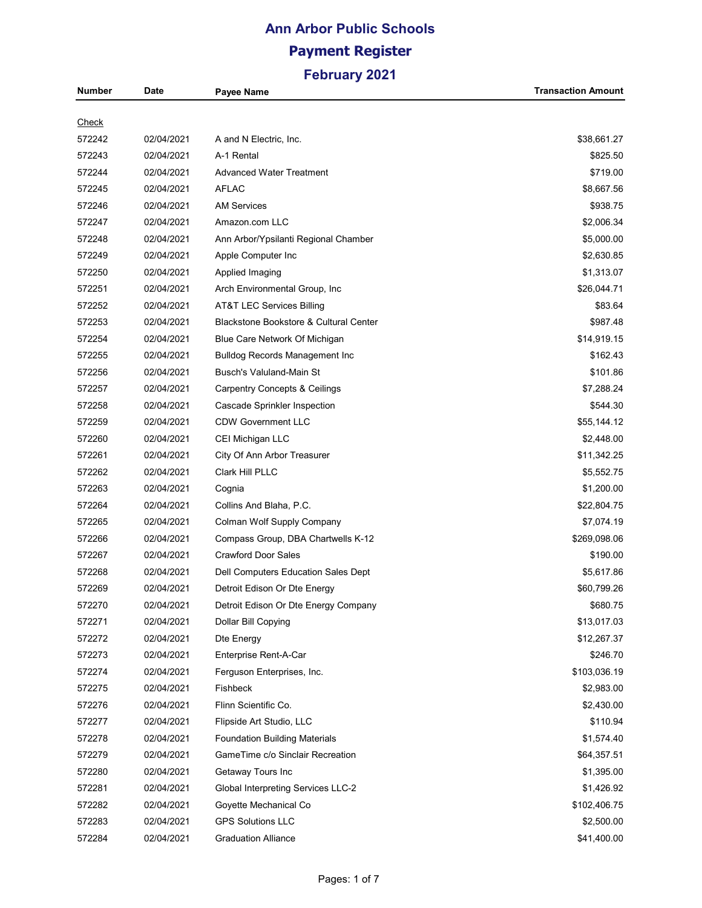# **Ann Arbor Public Schools Payment Register**

| Number       | Date       | Payee Name                               | <b>Transaction Amount</b> |
|--------------|------------|------------------------------------------|---------------------------|
|              |            |                                          |                           |
| <b>Check</b> |            |                                          |                           |
| 572242       | 02/04/2021 | A and N Electric, Inc.                   | \$38,661.27               |
| 572243       | 02/04/2021 | A-1 Rental                               | \$825.50                  |
| 572244       | 02/04/2021 | <b>Advanced Water Treatment</b>          | \$719.00                  |
| 572245       | 02/04/2021 | <b>AFLAC</b>                             | \$8,667.56                |
| 572246       | 02/04/2021 | <b>AM Services</b>                       | \$938.75                  |
| 572247       | 02/04/2021 | Amazon.com LLC                           | \$2,006.34                |
| 572248       | 02/04/2021 | Ann Arbor/Ypsilanti Regional Chamber     | \$5,000.00                |
| 572249       | 02/04/2021 | Apple Computer Inc                       | \$2,630.85                |
| 572250       | 02/04/2021 | Applied Imaging                          | \$1,313.07                |
| 572251       | 02/04/2021 | Arch Environmental Group, Inc.           | \$26,044.71               |
| 572252       | 02/04/2021 | AT&T LEC Services Billing                | \$83.64                   |
| 572253       | 02/04/2021 | Blackstone Bookstore & Cultural Center   | \$987.48                  |
| 572254       | 02/04/2021 | Blue Care Network Of Michigan            | \$14,919.15               |
| 572255       | 02/04/2021 | <b>Bulldog Records Management Inc</b>    | \$162.43                  |
| 572256       | 02/04/2021 | Busch's Valuland-Main St                 | \$101.86                  |
| 572257       | 02/04/2021 | <b>Carpentry Concepts &amp; Ceilings</b> | \$7,288.24                |
| 572258       | 02/04/2021 | Cascade Sprinkler Inspection             | \$544.30                  |
| 572259       | 02/04/2021 | <b>CDW Government LLC</b>                | \$55,144.12               |
| 572260       | 02/04/2021 | CEI Michigan LLC                         | \$2,448.00                |
| 572261       | 02/04/2021 | City Of Ann Arbor Treasurer              | \$11,342.25               |
| 572262       | 02/04/2021 | Clark Hill PLLC                          | \$5,552.75                |
| 572263       | 02/04/2021 | Cognia                                   | \$1,200.00                |
| 572264       | 02/04/2021 | Collins And Blaha, P.C.                  | \$22,804.75               |
| 572265       | 02/04/2021 | Colman Wolf Supply Company               | \$7,074.19                |
| 572266       | 02/04/2021 | Compass Group, DBA Chartwells K-12       | \$269,098.06              |
| 572267       | 02/04/2021 | <b>Crawford Door Sales</b>               | \$190.00                  |
| 572268       | 02/04/2021 | Dell Computers Education Sales Dept      | \$5,617.86                |
| 572269       | 02/04/2021 | Detroit Edison Or Dte Energy             | \$60,799.26               |
| 572270       | 02/04/2021 | Detroit Edison Or Dte Energy Company     | \$680.75                  |
| 572271       | 02/04/2021 | Dollar Bill Copying                      | \$13,017.03               |
| 572272       | 02/04/2021 | Dte Energy                               | \$12,267.37               |
| 572273       | 02/04/2021 | Enterprise Rent-A-Car                    | \$246.70                  |
| 572274       | 02/04/2021 | Ferguson Enterprises, Inc.               | \$103,036.19              |
| 572275       | 02/04/2021 | Fishbeck                                 | \$2,983.00                |
| 572276       | 02/04/2021 | Flinn Scientific Co.                     | \$2,430.00                |
| 572277       | 02/04/2021 | Flipside Art Studio, LLC                 | \$110.94                  |
| 572278       | 02/04/2021 | <b>Foundation Building Materials</b>     | \$1,574.40                |
| 572279       | 02/04/2021 | GameTime c/o Sinclair Recreation         | \$64,357.51               |
| 572280       | 02/04/2021 | Getaway Tours Inc                        | \$1,395.00                |
| 572281       | 02/04/2021 | Global Interpreting Services LLC-2       | \$1,426.92                |
| 572282       | 02/04/2021 | Goyette Mechanical Co                    | \$102,406.75              |
| 572283       | 02/04/2021 | <b>GPS Solutions LLC</b>                 | \$2,500.00                |
| 572284       | 02/04/2021 | <b>Graduation Alliance</b>               | \$41,400.00               |
|              |            |                                          |                           |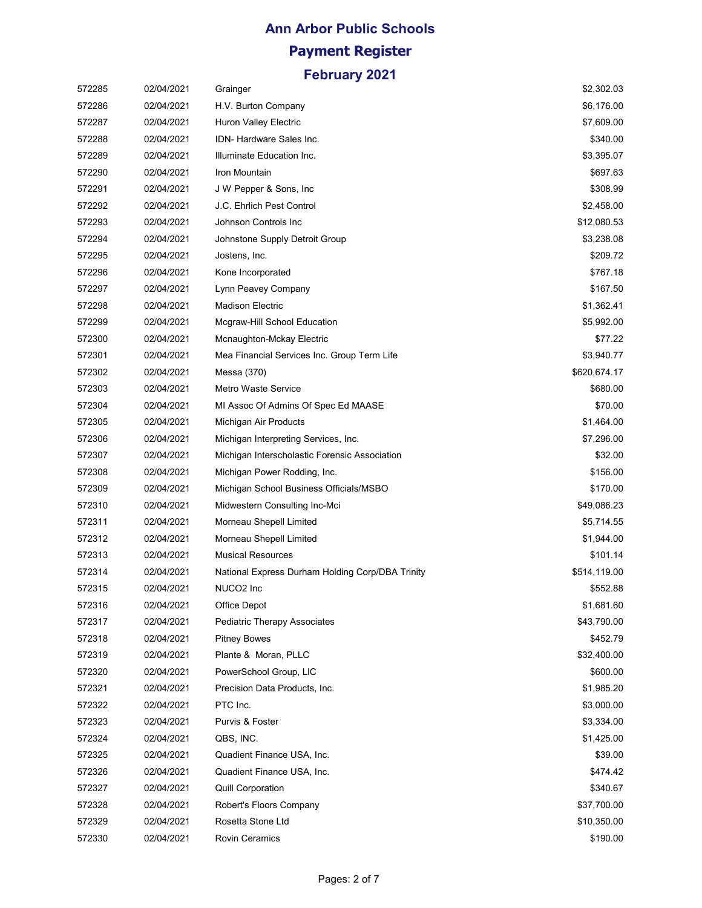## **Ann Arbor Public Schools Payment Register February 2021**

| 572285 | 02/04/2021 | Grainger                                         | \$2,302.03   |
|--------|------------|--------------------------------------------------|--------------|
| 572286 | 02/04/2021 | H.V. Burton Company                              | \$6,176.00   |
| 572287 | 02/04/2021 | Huron Valley Electric                            | \$7,609.00   |
| 572288 | 02/04/2021 | IDN- Hardware Sales Inc.                         | \$340.00     |
| 572289 | 02/04/2021 | Illuminate Education Inc.                        | \$3,395.07   |
| 572290 | 02/04/2021 | Iron Mountain                                    | \$697.63     |
| 572291 | 02/04/2021 | J W Pepper & Sons, Inc.                          | \$308.99     |
| 572292 | 02/04/2021 | J.C. Ehrlich Pest Control                        | \$2,458.00   |
| 572293 | 02/04/2021 | Johnson Controls Inc                             | \$12,080.53  |
| 572294 | 02/04/2021 | Johnstone Supply Detroit Group                   | \$3,238.08   |
| 572295 | 02/04/2021 | Jostens, Inc.                                    | \$209.72     |
| 572296 | 02/04/2021 | Kone Incorporated                                | \$767.18     |
| 572297 | 02/04/2021 | Lynn Peavey Company                              | \$167.50     |
| 572298 | 02/04/2021 | <b>Madison Electric</b>                          | \$1,362.41   |
| 572299 | 02/04/2021 | Mcgraw-Hill School Education                     | \$5,992.00   |
| 572300 | 02/04/2021 | Mcnaughton-Mckay Electric                        | \$77.22      |
| 572301 | 02/04/2021 | Mea Financial Services Inc. Group Term Life      | \$3,940.77   |
| 572302 | 02/04/2021 | Messa (370)                                      | \$620,674.17 |
| 572303 | 02/04/2021 | Metro Waste Service                              | \$680.00     |
| 572304 | 02/04/2021 | MI Assoc Of Admins Of Spec Ed MAASE              | \$70.00      |
| 572305 | 02/04/2021 | Michigan Air Products                            | \$1,464.00   |
| 572306 | 02/04/2021 | Michigan Interpreting Services, Inc.             | \$7,296.00   |
| 572307 | 02/04/2021 | Michigan Interscholastic Forensic Association    | \$32.00      |
| 572308 | 02/04/2021 | Michigan Power Rodding, Inc.                     | \$156.00     |
| 572309 | 02/04/2021 | Michigan School Business Officials/MSBO          | \$170.00     |
| 572310 | 02/04/2021 | Midwestern Consulting Inc-Mci                    | \$49,086.23  |
| 572311 | 02/04/2021 | Morneau Shepell Limited                          | \$5,714.55   |
| 572312 | 02/04/2021 | Morneau Shepell Limited                          | \$1,944.00   |
| 572313 | 02/04/2021 | <b>Musical Resources</b>                         | \$101.14     |
| 572314 | 02/04/2021 | National Express Durham Holding Corp/DBA Trinity | \$514,119.00 |
| 572315 | 02/04/2021 | NUCO <sub>2</sub> Inc                            | \$552.88     |
| 572316 | 02/04/2021 | Office Depot                                     | \$1,681.60   |
| 572317 | 02/04/2021 | Pediatric Therapy Associates                     | \$43,790.00  |
| 572318 | 02/04/2021 | <b>Pitney Bowes</b>                              | \$452.79     |
| 572319 | 02/04/2021 | Plante & Moran, PLLC                             | \$32,400.00  |
| 572320 | 02/04/2021 | PowerSchool Group, LIC                           | \$600.00     |
| 572321 | 02/04/2021 | Precision Data Products, Inc.                    | \$1,985.20   |
| 572322 | 02/04/2021 | PTC Inc.                                         | \$3,000.00   |
| 572323 | 02/04/2021 | Purvis & Foster                                  | \$3,334.00   |
| 572324 | 02/04/2021 | QBS, INC.                                        | \$1,425.00   |
| 572325 | 02/04/2021 | Quadient Finance USA, Inc.                       | \$39.00      |
| 572326 | 02/04/2021 | Quadient Finance USA, Inc.                       | \$474.42     |
| 572327 | 02/04/2021 | Quill Corporation                                | \$340.67     |
| 572328 | 02/04/2021 | Robert's Floors Company                          | \$37,700.00  |
| 572329 | 02/04/2021 | Rosetta Stone Ltd                                | \$10,350.00  |
| 572330 | 02/04/2021 | Rovin Ceramics                                   | \$190.00     |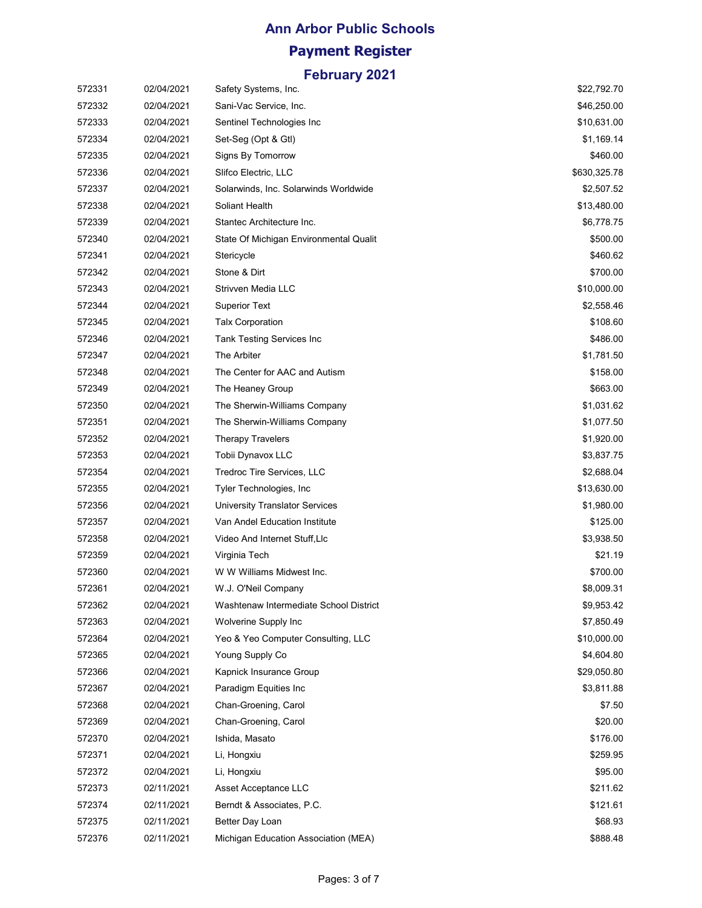# **Ann Arbor Public Schools Payment Register**

| 572331 | 02/04/2021 | Safety Systems, Inc.                   | \$22,792.70  |
|--------|------------|----------------------------------------|--------------|
| 572332 | 02/04/2021 | Sani-Vac Service, Inc.                 | \$46,250.00  |
| 572333 | 02/04/2021 | Sentinel Technologies Inc              | \$10,631.00  |
| 572334 | 02/04/2021 | Set-Seg (Opt & Gtl)                    | \$1,169.14   |
| 572335 | 02/04/2021 | Signs By Tomorrow                      | \$460.00     |
| 572336 | 02/04/2021 | Slifco Electric, LLC                   | \$630,325.78 |
| 572337 | 02/04/2021 | Solarwinds, Inc. Solarwinds Worldwide  | \$2,507.52   |
| 572338 | 02/04/2021 | Soliant Health                         | \$13,480.00  |
| 572339 | 02/04/2021 | Stantec Architecture Inc.              | \$6,778.75   |
| 572340 | 02/04/2021 | State Of Michigan Environmental Qualit | \$500.00     |
| 572341 | 02/04/2021 | Stericycle                             | \$460.62     |
| 572342 | 02/04/2021 | Stone & Dirt                           | \$700.00     |
| 572343 | 02/04/2021 | Strivven Media LLC                     | \$10,000.00  |
| 572344 | 02/04/2021 | <b>Superior Text</b>                   | \$2,558.46   |
| 572345 | 02/04/2021 | <b>Talx Corporation</b>                | \$108.60     |
| 572346 | 02/04/2021 | <b>Tank Testing Services Inc</b>       | \$486.00     |
| 572347 | 02/04/2021 | The Arbiter                            | \$1,781.50   |
| 572348 | 02/04/2021 | The Center for AAC and Autism          | \$158.00     |
| 572349 | 02/04/2021 | The Heaney Group                       | \$663.00     |
| 572350 | 02/04/2021 | The Sherwin-Williams Company           | \$1,031.62   |
| 572351 | 02/04/2021 | The Sherwin-Williams Company           | \$1,077.50   |
| 572352 | 02/04/2021 | <b>Therapy Travelers</b>               | \$1,920.00   |
| 572353 | 02/04/2021 | Tobii Dynavox LLC                      | \$3,837.75   |
| 572354 | 02/04/2021 | Tredroc Tire Services, LLC             | \$2,688.04   |
| 572355 | 02/04/2021 | Tyler Technologies, Inc.               | \$13,630.00  |
| 572356 | 02/04/2021 | University Translator Services         | \$1,980.00   |
| 572357 | 02/04/2021 | Van Andel Education Institute          | \$125.00     |
| 572358 | 02/04/2021 | Video And Internet Stuff, Llc          | \$3,938.50   |
| 572359 | 02/04/2021 | Virginia Tech                          | \$21.19      |
| 572360 | 02/04/2021 | W W Williams Midwest Inc.              | \$700.00     |
| 572361 | 02/04/2021 | W.J. O'Neil Company                    | \$8,009.31   |
| 572362 | 02/04/2021 | Washtenaw Intermediate School District | \$9,953.42   |
| 572363 | 02/04/2021 | Wolverine Supply Inc                   | \$7,850.49   |
| 572364 | 02/04/2021 | Yeo & Yeo Computer Consulting, LLC     | \$10,000.00  |
| 572365 | 02/04/2021 | Young Supply Co                        | \$4,604.80   |
| 572366 | 02/04/2021 | Kapnick Insurance Group                | \$29,050.80  |
| 572367 | 02/04/2021 | Paradigm Equities Inc                  | \$3,811.88   |
| 572368 | 02/04/2021 | Chan-Groening, Carol                   | \$7.50       |
| 572369 | 02/04/2021 | Chan-Groening, Carol                   | \$20.00      |
| 572370 | 02/04/2021 | Ishida, Masato                         | \$176.00     |
| 572371 | 02/04/2021 | Li, Hongxiu                            | \$259.95     |
| 572372 | 02/04/2021 | Li, Hongxiu                            | \$95.00      |
| 572373 | 02/11/2021 | Asset Acceptance LLC                   | \$211.62     |
| 572374 | 02/11/2021 | Berndt & Associates, P.C.              | \$121.61     |
| 572375 | 02/11/2021 | Better Day Loan                        | \$68.93      |
| 572376 | 02/11/2021 | Michigan Education Association (MEA)   | \$888.48     |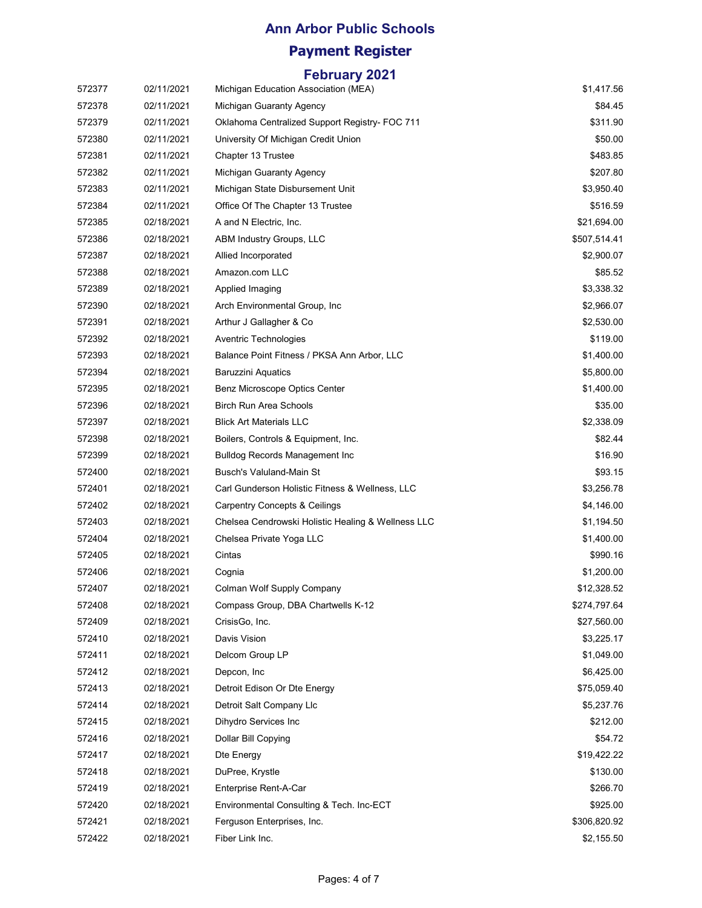# **Ann Arbor Public Schools**

### **Payment Register**

| 572377 | 02/11/2021 | Michigan Education Association (MEA)               | \$1,417.56   |
|--------|------------|----------------------------------------------------|--------------|
| 572378 | 02/11/2021 | Michigan Guaranty Agency                           | \$84.45      |
| 572379 | 02/11/2021 | Oklahoma Centralized Support Registry- FOC 711     | \$311.90     |
| 572380 | 02/11/2021 | University Of Michigan Credit Union                | \$50.00      |
| 572381 | 02/11/2021 | Chapter 13 Trustee                                 | \$483.85     |
| 572382 | 02/11/2021 | Michigan Guaranty Agency                           | \$207.80     |
| 572383 | 02/11/2021 | Michigan State Disbursement Unit                   | \$3,950.40   |
| 572384 | 02/11/2021 | Office Of The Chapter 13 Trustee                   | \$516.59     |
| 572385 | 02/18/2021 | A and N Electric, Inc.                             | \$21,694.00  |
| 572386 | 02/18/2021 | ABM Industry Groups, LLC                           | \$507,514.41 |
| 572387 | 02/18/2021 | Allied Incorporated                                | \$2,900.07   |
| 572388 | 02/18/2021 | Amazon.com LLC                                     | \$85.52      |
| 572389 | 02/18/2021 | Applied Imaging                                    | \$3,338.32   |
| 572390 | 02/18/2021 | Arch Environmental Group, Inc.                     | \$2,966.07   |
| 572391 | 02/18/2021 | Arthur J Gallagher & Co                            | \$2,530.00   |
| 572392 | 02/18/2021 | Aventric Technologies                              | \$119.00     |
| 572393 | 02/18/2021 | Balance Point Fitness / PKSA Ann Arbor, LLC        | \$1,400.00   |
| 572394 | 02/18/2021 | <b>Baruzzini Aquatics</b>                          | \$5,800.00   |
| 572395 | 02/18/2021 | Benz Microscope Optics Center                      | \$1,400.00   |
| 572396 | 02/18/2021 | <b>Birch Run Area Schools</b>                      | \$35.00      |
| 572397 | 02/18/2021 | Blick Art Materials LLC                            | \$2,338.09   |
| 572398 | 02/18/2021 | Boilers, Controls & Equipment, Inc.                | \$82.44      |
| 572399 | 02/18/2021 | <b>Bulldog Records Management Inc</b>              | \$16.90      |
| 572400 | 02/18/2021 | Busch's Valuland-Main St                           | \$93.15      |
| 572401 | 02/18/2021 | Carl Gunderson Holistic Fitness & Wellness, LLC    | \$3,256.78   |
| 572402 | 02/18/2021 | <b>Carpentry Concepts &amp; Ceilings</b>           | \$4,146.00   |
| 572403 | 02/18/2021 | Chelsea Cendrowski Holistic Healing & Wellness LLC | \$1,194.50   |
| 572404 | 02/18/2021 | Chelsea Private Yoga LLC                           | \$1,400.00   |
| 572405 | 02/18/2021 | Cintas                                             | \$990.16     |
| 572406 | 02/18/2021 | Cognia                                             | \$1,200.00   |
| 572407 | 02/18/2021 | Colman Wolf Supply Company                         | \$12,328.52  |
| 572408 | 02/18/2021 | Compass Group, DBA Chartwells K-12                 | \$274,797.64 |
| 572409 | 02/18/2021 | CrisisGo, Inc.                                     | \$27,560.00  |
| 572410 | 02/18/2021 | Davis Vision                                       | \$3,225.17   |
| 572411 | 02/18/2021 | Delcom Group LP                                    | \$1,049.00   |
| 572412 | 02/18/2021 | Depcon, Inc.                                       | \$6,425.00   |
| 572413 | 02/18/2021 | Detroit Edison Or Dte Energy                       | \$75,059.40  |
| 572414 | 02/18/2021 | Detroit Salt Company Llc                           | \$5,237.76   |
| 572415 | 02/18/2021 | Dihydro Services Inc                               | \$212.00     |
| 572416 | 02/18/2021 | Dollar Bill Copying                                | \$54.72      |
| 572417 | 02/18/2021 | Dte Energy                                         | \$19,422.22  |
| 572418 | 02/18/2021 | DuPree, Krystle                                    | \$130.00     |
| 572419 | 02/18/2021 | Enterprise Rent-A-Car                              | \$266.70     |
| 572420 | 02/18/2021 | Environmental Consulting & Tech. Inc-ECT           | \$925.00     |
| 572421 | 02/18/2021 | Ferguson Enterprises, Inc.                         | \$306,820.92 |
| 572422 | 02/18/2021 | Fiber Link Inc.                                    | \$2,155.50   |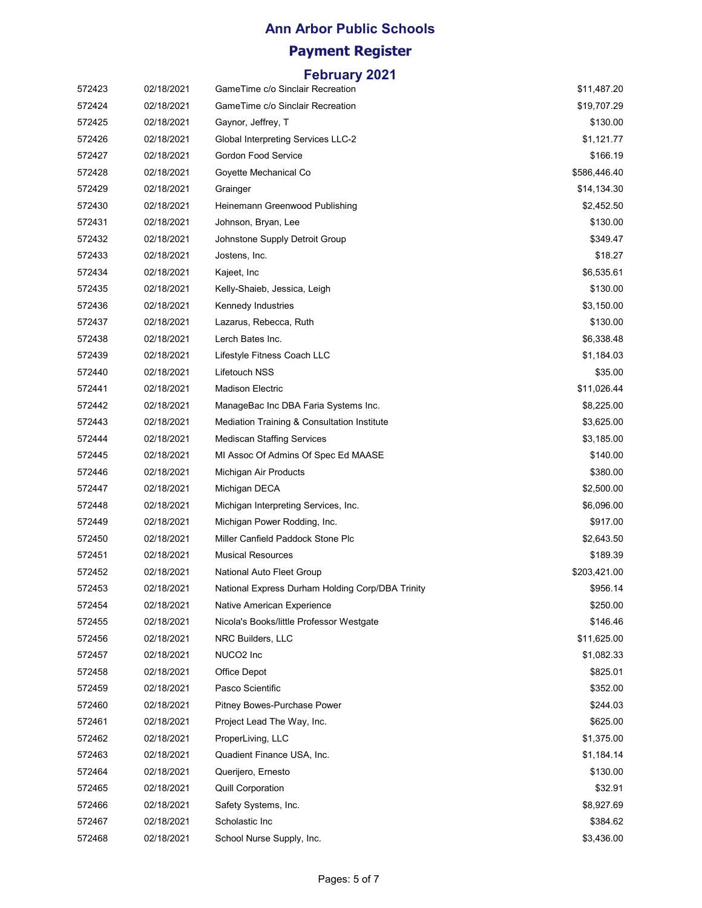#### **Ann Arbor Public Schools**

### **Payment Register**

| 572423 | 02/18/2021 | GameTime c/o Sinclair Recreation                 | \$11,487.20  |
|--------|------------|--------------------------------------------------|--------------|
| 572424 | 02/18/2021 | GameTime c/o Sinclair Recreation                 | \$19,707.29  |
| 572425 | 02/18/2021 | Gaynor, Jeffrey, T                               | \$130.00     |
| 572426 | 02/18/2021 | <b>Global Interpreting Services LLC-2</b>        | \$1,121.77   |
| 572427 | 02/18/2021 | <b>Gordon Food Service</b>                       | \$166.19     |
| 572428 | 02/18/2021 | Goyette Mechanical Co                            | \$586,446.40 |
| 572429 | 02/18/2021 | Grainger                                         | \$14,134.30  |
| 572430 | 02/18/2021 | Heinemann Greenwood Publishing                   | \$2,452.50   |
| 572431 | 02/18/2021 | Johnson, Bryan, Lee                              | \$130.00     |
| 572432 | 02/18/2021 | Johnstone Supply Detroit Group                   | \$349.47     |
| 572433 | 02/18/2021 | Jostens, Inc.                                    | \$18.27      |
| 572434 | 02/18/2021 | Kajeet, Inc                                      | \$6,535.61   |
| 572435 | 02/18/2021 | Kelly-Shaieb, Jessica, Leigh                     | \$130.00     |
| 572436 | 02/18/2021 | Kennedy Industries                               | \$3,150.00   |
| 572437 | 02/18/2021 | Lazarus, Rebecca, Ruth                           | \$130.00     |
| 572438 | 02/18/2021 | Lerch Bates Inc.                                 | \$6,338.48   |
| 572439 | 02/18/2021 | Lifestyle Fitness Coach LLC                      | \$1,184.03   |
| 572440 | 02/18/2021 | Lifetouch NSS                                    | \$35.00      |
| 572441 | 02/18/2021 | <b>Madison Electric</b>                          | \$11,026.44  |
| 572442 | 02/18/2021 | ManageBac Inc DBA Faria Systems Inc.             | \$8,225.00   |
| 572443 | 02/18/2021 | Mediation Training & Consultation Institute      | \$3,625.00   |
| 572444 | 02/18/2021 | <b>Mediscan Staffing Services</b>                | \$3,185.00   |
| 572445 | 02/18/2021 | MI Assoc Of Admins Of Spec Ed MAASE              | \$140.00     |
| 572446 | 02/18/2021 | Michigan Air Products                            | \$380.00     |
| 572447 | 02/18/2021 | Michigan DECA                                    | \$2,500.00   |
| 572448 | 02/18/2021 | Michigan Interpreting Services, Inc.             | \$6,096.00   |
| 572449 | 02/18/2021 | Michigan Power Rodding, Inc.                     | \$917.00     |
| 572450 | 02/18/2021 | Miller Canfield Paddock Stone Plc                | \$2,643.50   |
| 572451 | 02/18/2021 | <b>Musical Resources</b>                         | \$189.39     |
| 572452 | 02/18/2021 | National Auto Fleet Group                        | \$203,421.00 |
| 572453 | 02/18/2021 | National Express Durham Holding Corp/DBA Trinity | \$956.14     |
| 572454 | 02/18/2021 | Native American Experience                       | \$250.00     |
| 572455 | 02/18/2021 | Nicola's Books/little Professor Westgate         | \$146.46     |
| 572456 | 02/18/2021 | NRC Builders, LLC                                | \$11,625.00  |
| 572457 | 02/18/2021 | NUCO2 Inc                                        | \$1,082.33   |
| 572458 | 02/18/2021 | Office Depot                                     | \$825.01     |
| 572459 | 02/18/2021 | Pasco Scientific                                 | \$352.00     |
| 572460 | 02/18/2021 | Pitney Bowes-Purchase Power                      | \$244.03     |
| 572461 | 02/18/2021 | Project Lead The Way, Inc.                       | \$625.00     |
| 572462 | 02/18/2021 | ProperLiving, LLC                                | \$1,375.00   |
| 572463 | 02/18/2021 | Quadient Finance USA, Inc.                       | \$1,184.14   |
| 572464 | 02/18/2021 | Querijero, Ernesto                               | \$130.00     |
| 572465 | 02/18/2021 | <b>Quill Corporation</b>                         | \$32.91      |
| 572466 | 02/18/2021 | Safety Systems, Inc.                             | \$8,927.69   |
| 572467 | 02/18/2021 | Scholastic Inc                                   | \$384.62     |
| 572468 | 02/18/2021 | School Nurse Supply, Inc.                        | \$3,436.00   |
|        |            |                                                  |              |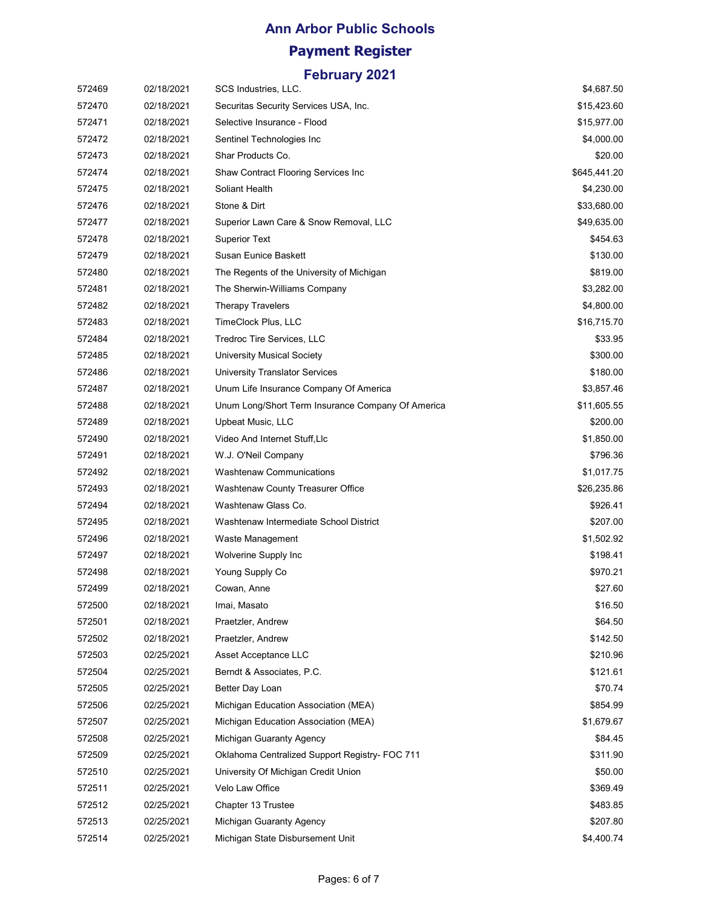### **Ann Arbor Public Schools Payment Register**

| 572469 | 02/18/2021 | SCS Industries, LLC.                              | \$4,687.50   |
|--------|------------|---------------------------------------------------|--------------|
| 572470 | 02/18/2021 | Securitas Security Services USA, Inc.             | \$15,423.60  |
| 572471 | 02/18/2021 | Selective Insurance - Flood                       | \$15,977.00  |
| 572472 | 02/18/2021 | Sentinel Technologies Inc                         | \$4,000.00   |
| 572473 | 02/18/2021 | Shar Products Co.                                 | \$20.00      |
| 572474 | 02/18/2021 | Shaw Contract Flooring Services Inc               | \$645,441.20 |
| 572475 | 02/18/2021 | Soliant Health                                    | \$4,230.00   |
| 572476 | 02/18/2021 | Stone & Dirt                                      | \$33,680.00  |
| 572477 | 02/18/2021 | Superior Lawn Care & Snow Removal, LLC            | \$49,635.00  |
| 572478 | 02/18/2021 | <b>Superior Text</b>                              | \$454.63     |
| 572479 | 02/18/2021 | Susan Eunice Baskett                              | \$130.00     |
| 572480 | 02/18/2021 | The Regents of the University of Michigan         | \$819.00     |
| 572481 | 02/18/2021 | The Sherwin-Williams Company                      | \$3,282.00   |
| 572482 | 02/18/2021 | <b>Therapy Travelers</b>                          | \$4,800.00   |
| 572483 | 02/18/2021 | TimeClock Plus, LLC                               | \$16,715.70  |
| 572484 | 02/18/2021 | Tredroc Tire Services, LLC                        | \$33.95      |
| 572485 | 02/18/2021 | University Musical Society                        | \$300.00     |
| 572486 | 02/18/2021 | <b>University Translator Services</b>             | \$180.00     |
| 572487 | 02/18/2021 | Unum Life Insurance Company Of America            | \$3,857.46   |
| 572488 | 02/18/2021 | Unum Long/Short Term Insurance Company Of America | \$11,605.55  |
| 572489 | 02/18/2021 | Upbeat Music, LLC                                 | \$200.00     |
| 572490 | 02/18/2021 | Video And Internet Stuff, Llc                     | \$1,850.00   |
| 572491 | 02/18/2021 | W.J. O'Neil Company                               | \$796.36     |
| 572492 | 02/18/2021 | <b>Washtenaw Communications</b>                   | \$1,017.75   |
| 572493 | 02/18/2021 | Washtenaw County Treasurer Office                 | \$26,235.86  |
| 572494 | 02/18/2021 | Washtenaw Glass Co.                               | \$926.41     |
| 572495 | 02/18/2021 | Washtenaw Intermediate School District            | \$207.00     |
| 572496 | 02/18/2021 | Waste Management                                  | \$1,502.92   |
| 572497 | 02/18/2021 | Wolverine Supply Inc                              | \$198.41     |
| 572498 | 02/18/2021 | Young Supply Co                                   | \$970.21     |
| 572499 | 02/18/2021 | Cowan, Anne                                       | \$27.60      |
| 572500 | 02/18/2021 | Imai, Masato                                      | \$16.50      |
| 572501 | 02/18/2021 | Praetzler, Andrew                                 | \$64.50      |
| 572502 | 02/18/2021 | Praetzler, Andrew                                 | \$142.50     |
| 572503 | 02/25/2021 | Asset Acceptance LLC                              | \$210.96     |
| 572504 | 02/25/2021 | Berndt & Associates, P.C.                         | \$121.61     |
| 572505 | 02/25/2021 | Better Day Loan                                   | \$70.74      |
| 572506 | 02/25/2021 | Michigan Education Association (MEA)              | \$854.99     |
| 572507 | 02/25/2021 | Michigan Education Association (MEA)              | \$1,679.67   |
| 572508 | 02/25/2021 | Michigan Guaranty Agency                          | \$84.45      |
| 572509 | 02/25/2021 | Oklahoma Centralized Support Registry- FOC 711    | \$311.90     |
| 572510 | 02/25/2021 | University Of Michigan Credit Union               | \$50.00      |
| 572511 | 02/25/2021 | Velo Law Office                                   | \$369.49     |
| 572512 | 02/25/2021 | Chapter 13 Trustee                                | \$483.85     |
| 572513 | 02/25/2021 | Michigan Guaranty Agency                          | \$207.80     |
| 572514 | 02/25/2021 | Michigan State Disbursement Unit                  | \$4,400.74   |